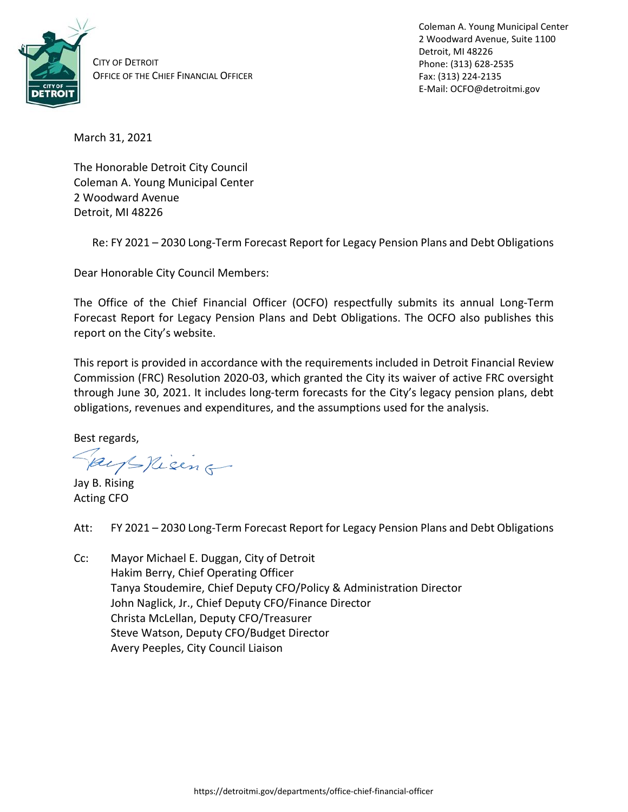

CITY OF DETROIT OFFICE OF THE CHIEF FINANCIAL OFFICER Coleman A. Young Municipal Center 2 Woodward Avenue, Suite 1100 Detroit, MI 48226 Phone: (313) 628-2535 Fax: (313) 224-2135 E-Mail: OCFO@detroitmi.gov

March 31, 2021

The Honorable Detroit City Council Coleman A. Young Municipal Center 2 Woodward Avenue Detroit, MI 48226

Re: FY 2021 – 2030 Long-Term Forecast Report for Legacy Pension Plans and Debt Obligations

Dear Honorable City Council Members:

The Office of the Chief Financial Officer (OCFO) respectfully submits its annual Long-Term Forecast Report for Legacy Pension Plans and Debt Obligations. The OCFO also publishes this report on the City's website.

This report is provided in accordance with the requirements included in Detroit Financial Review Commission (FRC) Resolution 2020-03, which granted the City its waiver of active FRC oversight through June 30, 2021. It includes long-term forecasts for the City's legacy pension plans, debt obligations, revenues and expenditures, and the assumptions used for the analysis.

Best regards,

Keeps Nieing

Jay B. Rising Acting CFO

- Att: FY 2021 2030 Long-Term Forecast Report for Legacy Pension Plans and Debt Obligations
- Cc: Mayor Michael E. Duggan, City of Detroit Hakim Berry, Chief Operating Officer Tanya Stoudemire, Chief Deputy CFO/Policy & Administration Director John Naglick, Jr., Chief Deputy CFO/Finance Director Christa McLellan, Deputy CFO/Treasurer Steve Watson, Deputy CFO/Budget Director Avery Peeples, City Council Liaison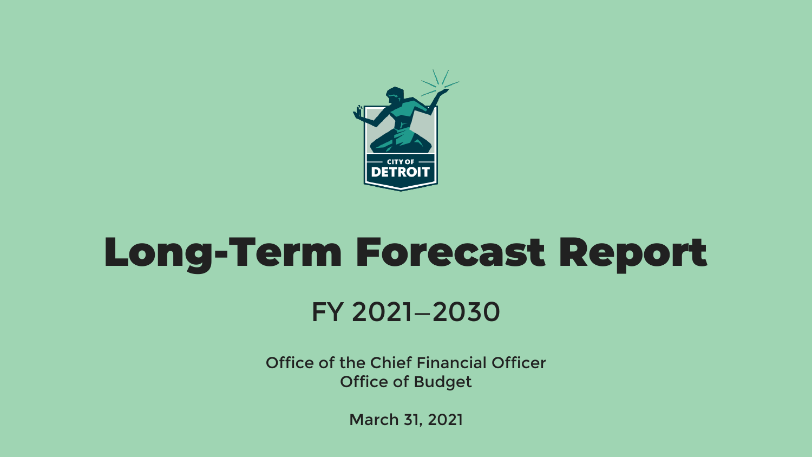

## Long-Term Forecast Report FY 2021—2030

Office of the Chief Financial Officer Office of Budget

March 31, 2021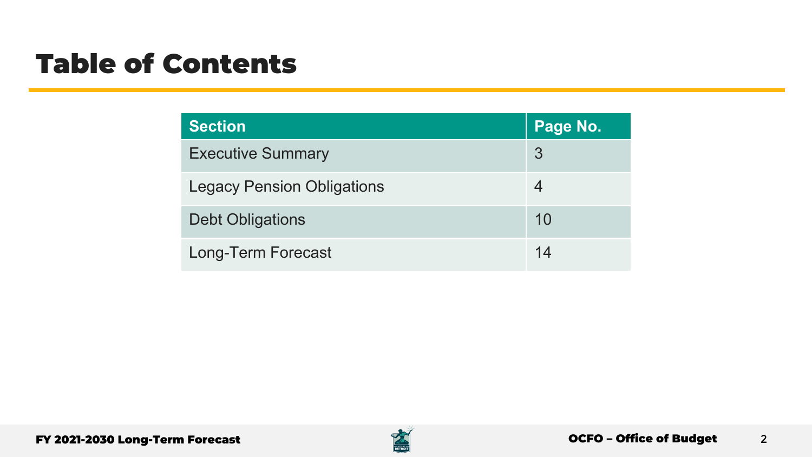### Table of Contents

| Section                           | Page No. |
|-----------------------------------|----------|
| <b>Executive Summary</b>          | 3        |
| <b>Legacy Pension Obligations</b> |          |
| <b>Debt Obligations</b>           | 10       |
| Long-Term Forecast                | 14       |

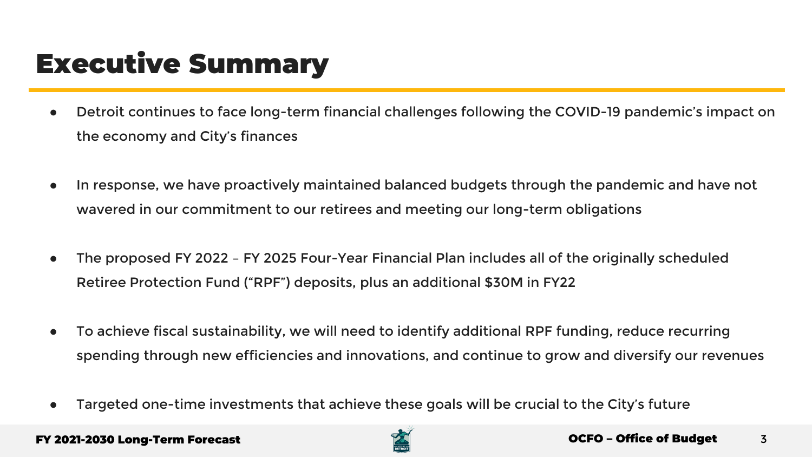### Executive Summary

- Detroit continues to face long-term financial challenges following the COVID-19 pandemic's impact on the economy and City's finances
- In response, we have proactively maintained balanced budgets through the pandemic and have not wavered in our commitment to our retirees and meeting our long-term obligations
- The proposed FY 2022 FY 2025 Four-Year Financial Plan includes all of the originally scheduled Retiree Protection Fund ("RPF") deposits, plus an additional \$30M in FY22
- To achieve fiscal sustainability, we will need to identify additional RPF funding, reduce recurring spending through new efficiencies and innovations, and continue to grow and diversify our revenues
- Targeted one-time investments that achieve these goals will be crucial to the City's future

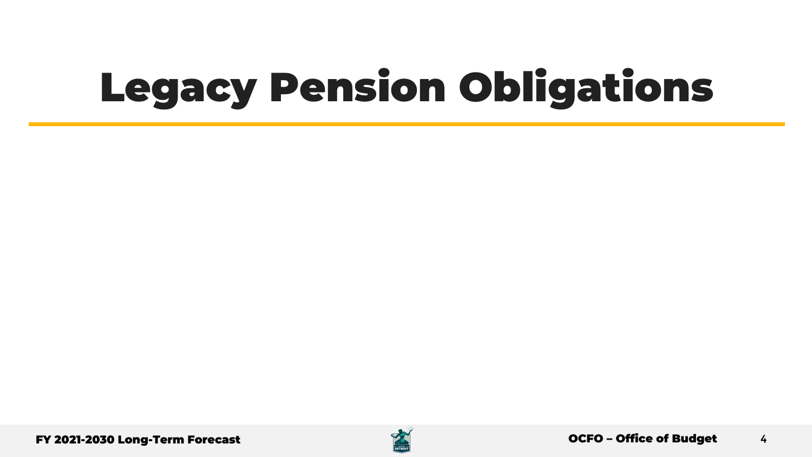# Legacy Pension Obligations

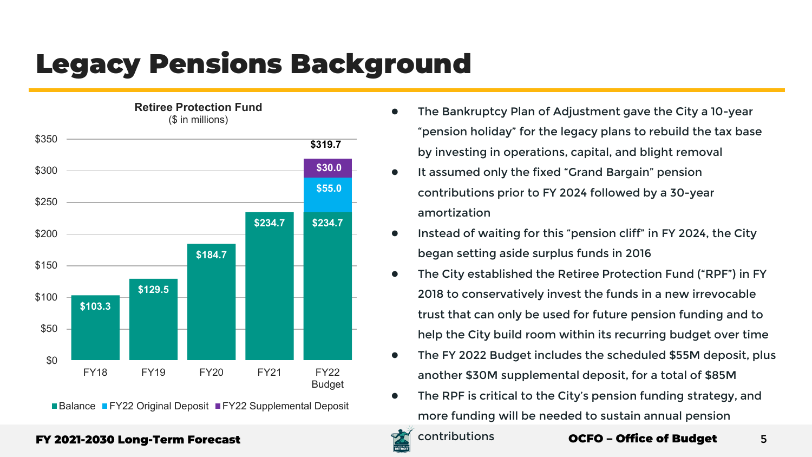### Legacy Pensions Background



**Retiree Protection Fund**

■Balance ■FY22 Original Deposit ■FY22 Supplemental Deposit

- The Bankruptcy Plan of Adjustment gave the City a 10-year "pension holiday" for the legacy plans to rebuild the tax base by investing in operations, capital, and blight removal
- It assumed only the fixed "Grand Bargain" pension contributions prior to FY 2024 followed by a 30-year amortization
- Instead of waiting for this "pension cliff" in FY 2024, the City began setting aside surplus funds in 2016
- The City established the Retiree Protection Fund ("RPF") in FY 2018 to conservatively invest the funds in a new irrevocable trust that can only be used for future pension funding and to help the City build room within its recurring budget over time
- The FY 2022 Budget includes the scheduled \$55M deposit, plus another \$30M supplemental deposit, for a total of \$85M
- The RPF is critical to the City's pension funding strategy, and more funding will be needed to sustain annual pension

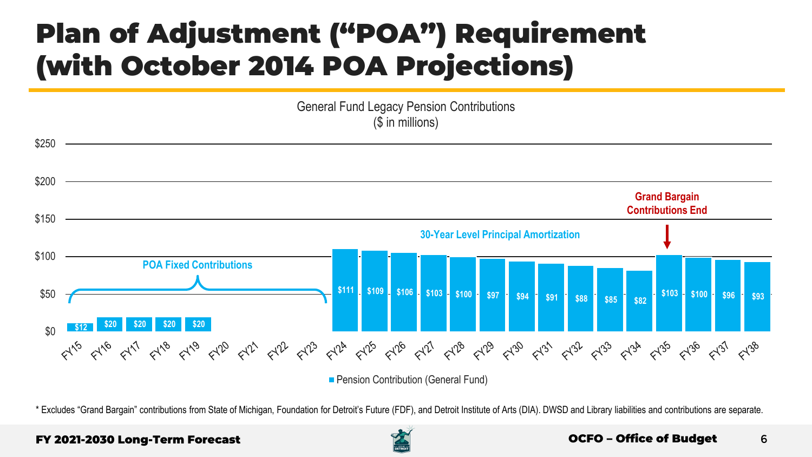### Plan of Adjustment ("POA") Requirement (with October 2014 POA Projections)

General Fund Legacy Pension Contributions (\$ in millions)



\* Excludes "Grand Bargain" contributions from State of Michigan, Foundation for Detroit's Future (FDF), and Detroit Institute of Arts (DIA). DWSD and Library liabilities and contributions are separate.

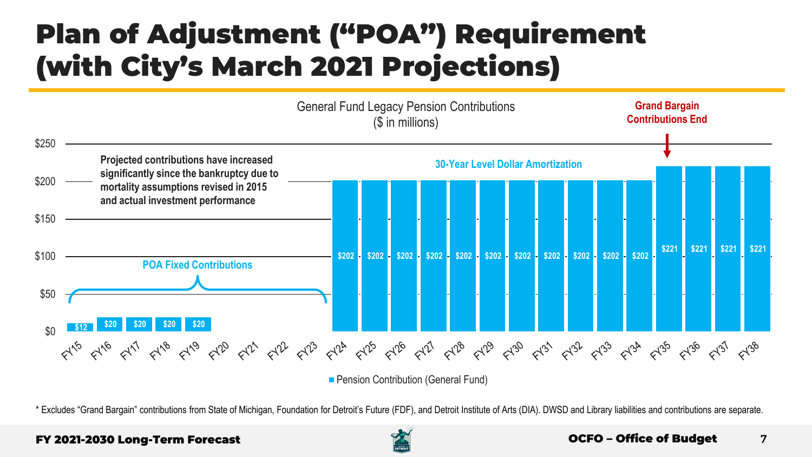### Plan of Adjustment ("POA") Requirement (with City's March 2021 Projections)



\* Excludes "Grand Bargain" contributions from State of Michigan, Foundation for Detroit's Future (FDF), and Detroit Institute of Arts (DIA). DWSD and Library liabilities and contributions are separate.

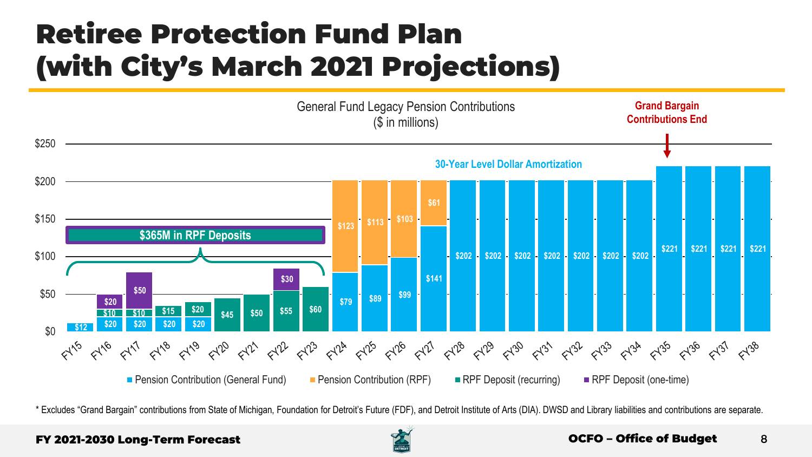### Retiree Protection Fund Plan (with City's March 2021 Projections)



\* Excludes "Grand Bargain" contributions from State of Michigan, Foundation for Detroit's Future (FDF), and Detroit Institute of Arts (DIA). DWSD and Library liabilities and contributions are separate.

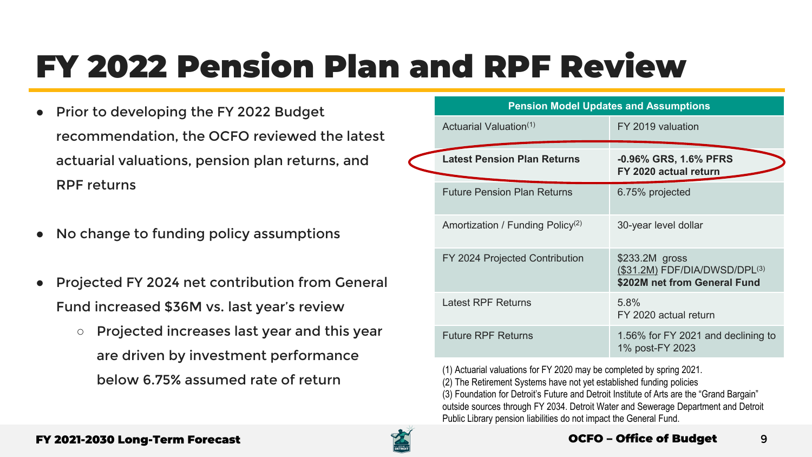## FY 2022 Pension Plan and RPF Review

- Prior to developing the FY 2022 Budget recommendation, the OCFO reviewed the latest actuarial valuations, pension plan returns, and RPF returns
- No change to funding policy assumptions
- Projected FY 2024 net contribution from General Fund increased \$36M vs. last year's review
	- Projected increases last year and this year are driven by investment performance below 6.75% assumed rate of return

| <b>Pension Model Updates and Assumptions</b> |                                                                                        |
|----------------------------------------------|----------------------------------------------------------------------------------------|
| Actuarial Valuation <sup>(1)</sup>           | FY 2019 valuation                                                                      |
| <b>Latest Pension Plan Returns</b>           | -0.96% GRS, 1.6% PFRS<br>FY 2020 actual return                                         |
| <b>Future Pension Plan Returns</b>           | 6.75% projected                                                                        |
| Amortization / Funding Policy <sup>(2)</sup> | 30-year level dollar                                                                   |
| FY 2024 Projected Contribution               | \$233.2M gross<br>$($31.2M)$ FDF/DIA/DWSD/DPL $^{(3)}$<br>\$202M net from General Fund |
| Latest RPF Returns                           | 5.8%<br>FY 2020 actual return                                                          |
| <b>Future RPF Returns</b>                    | 1.56% for FY 2021 and declining to<br>1% post-FY 2023                                  |

(1) Actuarial valuations for FY 2020 may be completed by spring 2021.

(2) The Retirement Systems have not yet established funding policies (3) Foundation for Detroit's Future and Detroit Institute of Arts are the "Grand Bargain" outside sources through FY 2034. Detroit Water and Sewerage Department and Detroit Public Library pension liabilities do not impact the General Fund.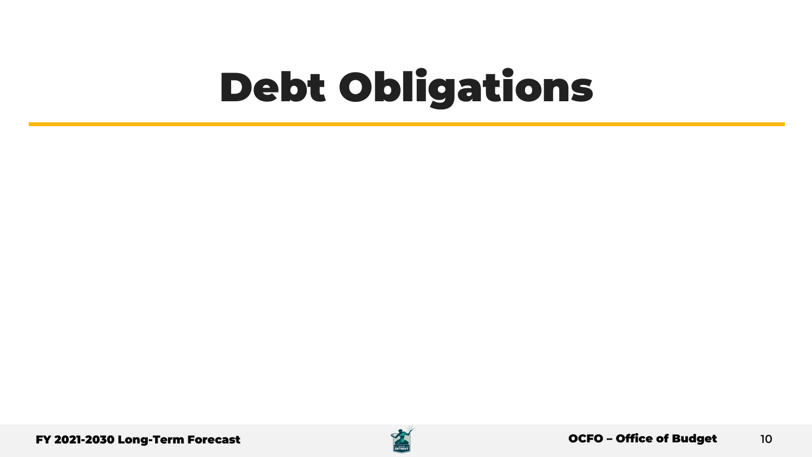## Debt Obligations

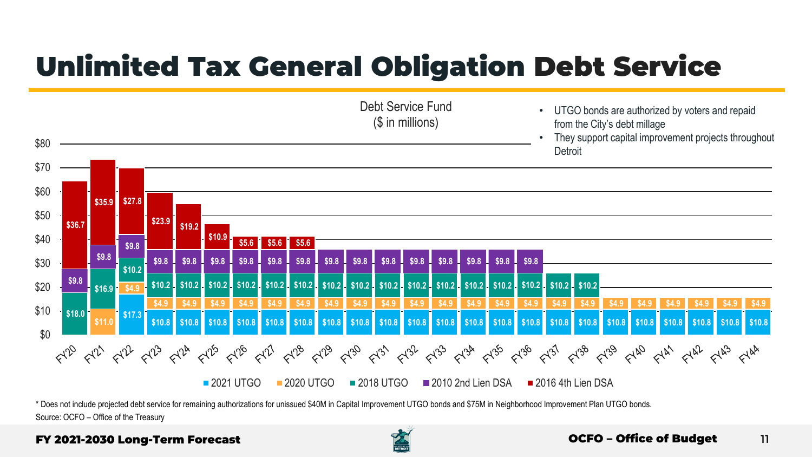### Unlimited Tax General Obligation Debt Service



\* Does not include projected debt service for remaining authorizations for unissued \$40M in Capital Improvement UTGO bonds and \$75M in Neighborhood Improvement Plan UTGO bonds. Source: OCFO – Office of the Treasury

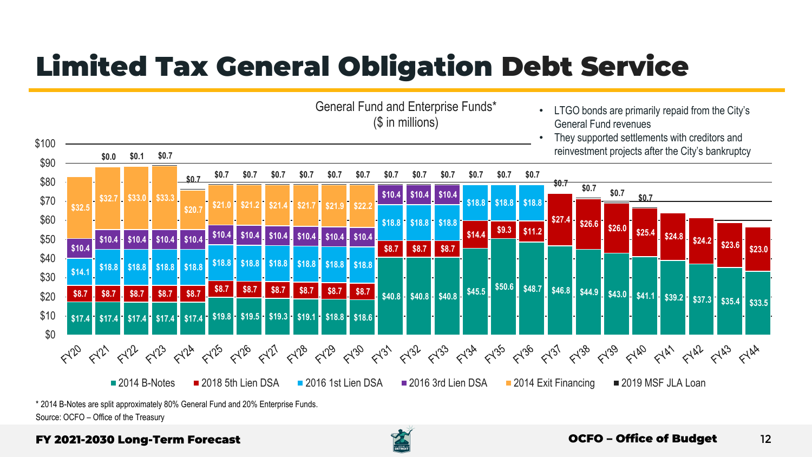## Limited Tax General Obligation Debt Service



<sup>\* 2014</sup> B-Notes are split approximately 80% General Fund and 20% Enterprise Funds. Source: OCFO – Office of the Treasury

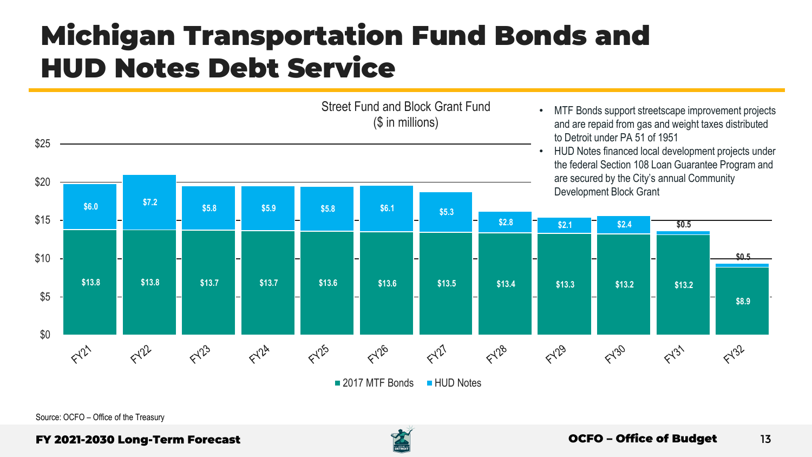### Michigan Transportation Fund Bonds and HUD Notes Debt Service

Street Fund and Block Grant Fund (\$ in millions)

- MTF Bonds support streetscape improvement projects and are repaid from gas and weight taxes distributed to Detroit under PA 51 of 1951
- HUD Notes financed local development projects under the federal Section 108 Loan Guarantee Program and are secured by the City's annual Community Development Block Grant



Source: OCFO – Office of the Treasury

\$25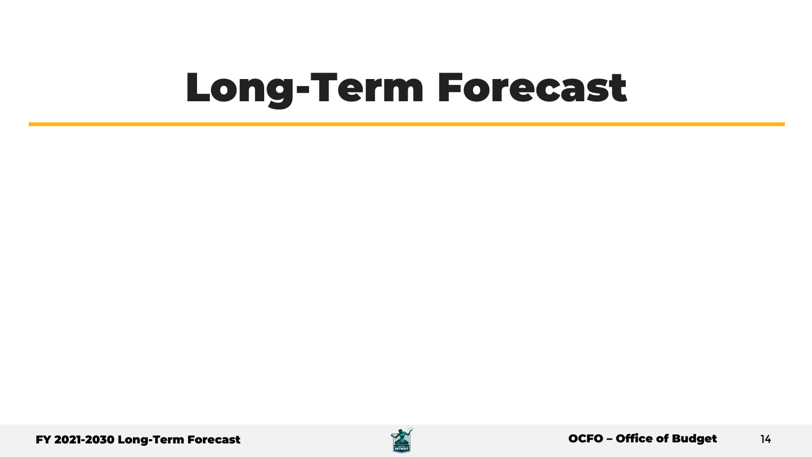## Long-Term Forecast

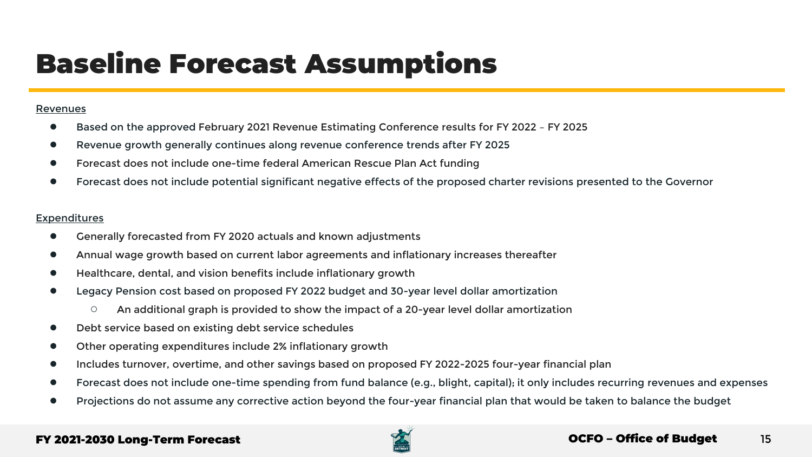### Baseline Forecast Assumptions

#### Revenues

- Based on the approved February 2021 Revenue Estimating Conference results for FY 2022 FY 2025
- Revenue growth generally continues along revenue conference trends after FY 2025
- Forecast does not include one-time federal American Rescue Plan Act funding
- Forecast does not include potential significant negative effects of the proposed charter revisions presented to the Governor

#### **Expenditures**

- Generally forecasted from FY 2020 actuals and known adjustments
- Annual wage growth based on current labor agreements and inflationary increases thereafter
- Healthcare, dental, and vision benefits include inflationary growth
- Legacy Pension cost based on proposed FY 2022 budget and 30-year level dollar amortization
	- An additional graph is provided to show the impact of a 20-year level dollar amortization
- Debt service based on existing debt service schedules
- Other operating expenditures include 2% inflationary growth
- Includes turnover, overtime, and other savings based on proposed FY 2022-2025 four-year financial plan
- Forecast does not include one-time spending from fund balance (e.g., blight, capital); it only includes recurring revenues and expenses
- Projections do not assume any corrective action beyond the four-year financial plan that would be taken to balance the budget

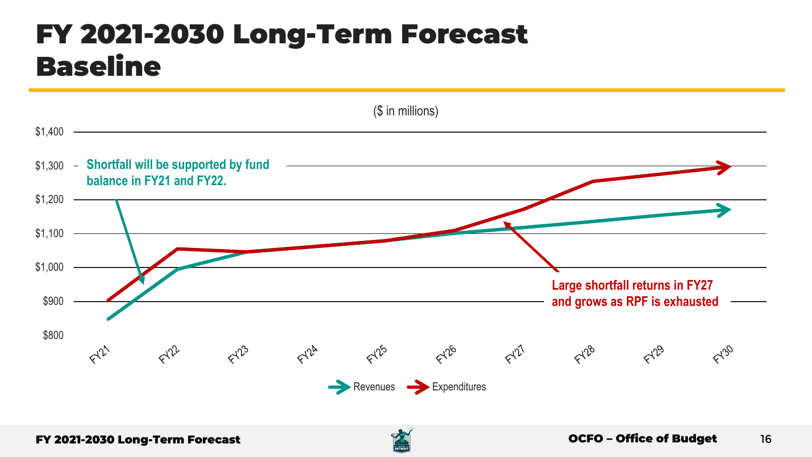### FY 2021-2030 Long-Term Forecast Baseline



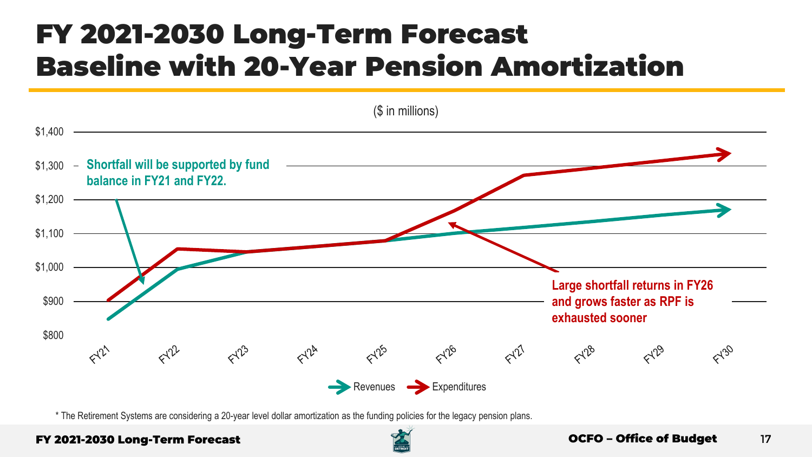### FY 2021-2030 Long-Term Forecast Baseline with 20-Year Pension Amortization



\* The Retirement Systems are considering a 20-year level dollar amortization as the funding policies for the legacy pension plans.

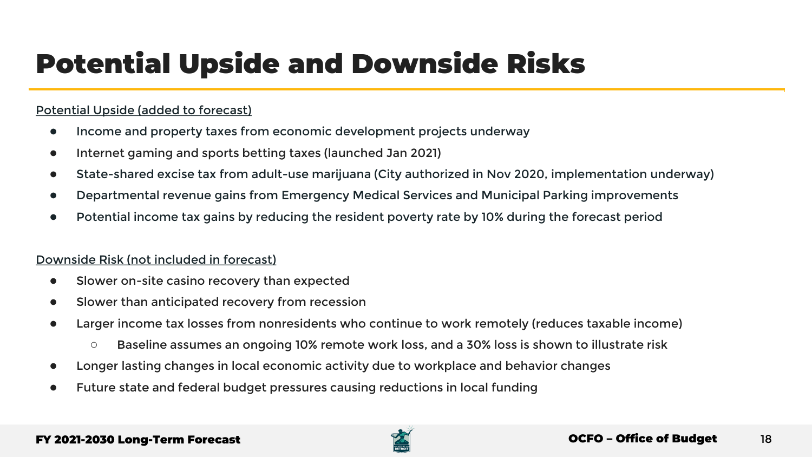### Potential Upside and Downside Risks

### Potential Upside (added to forecast)

- Income and property taxes from economic development projects underway
- Internet gaming and sports betting taxes (launched Jan 2021)
- State-shared excise tax from adult-use marijuana (City authorized in Nov 2020, implementation underway)
- Departmental revenue gains from Emergency Medical Services and Municipal Parking improvements
- Potential income tax gains by reducing the resident poverty rate by 10% during the forecast period

### Downside Risk (not included in forecast)

- Slower on-site casino recovery than expected
- Slower than anticipated recovery from recession
- Larger income tax losses from nonresidents who continue to work remotely (reduces taxable income)
	- Baseline assumes an ongoing 10% remote work loss, and a 30% loss is shown to illustrate risk
- Longer lasting changes in local economic activity due to workplace and behavior changes
- Future state and federal budget pressures causing reductions in local funding

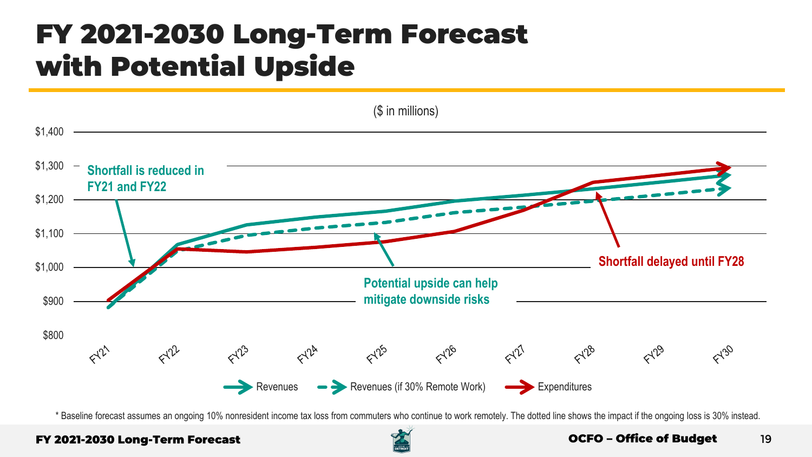### FY 2021-2030 Long-Term Forecast with Potential Upside



\* Baseline forecast assumes an ongoing 10% nonresident income tax loss from commuters who continue to work remotely. The dotted line shows the impact if the ongoing loss is 30% instead.

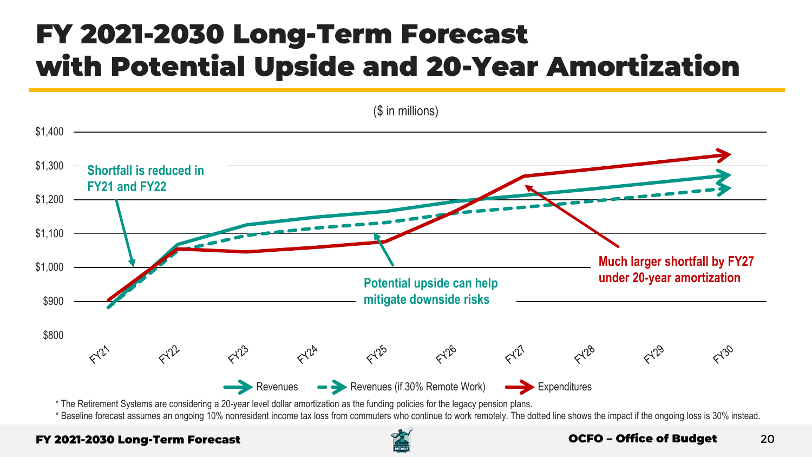### FY 2021-2030 Long-Term Forecast with Potential Upside and 20-Year Amortization



\* The Retirement Systems are considering a 20-year level dollar amortization as the funding policies for the legacy pension plans.

\* Baseline forecast assumes an ongoing 10% nonresident income tax loss from commuters who continue to work remotely. The dotted line shows the impact if the ongoing loss is 30% instead.